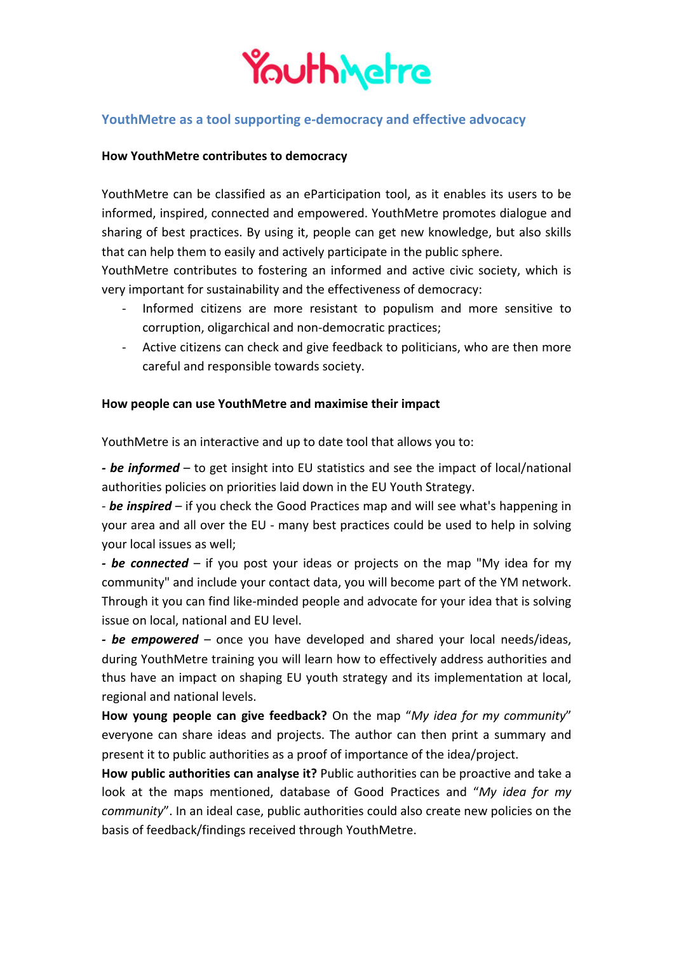

## **YouthMetre as a tool supporting e-democracy and effective advocacy**

#### **How YouthMetre contributes to democracy**

YouthMetre can be classified as an eParticipation tool, as it enables its users to be informed, inspired, connected and empowered. YouthMetre promotes dialogue and sharing of best practices. By using it, people can get new knowledge, but also skills that can help them to easily and actively participate in the public sphere.

YouthMetre contributes to fostering an informed and active civic society, which is very important for sustainability and the effectiveness of democracy:

- Informed citizens are more resistant to populism and more sensitive to corruption, oligarchical and non-democratic practices;
- Active citizens can check and give feedback to politicians, who are then more careful and responsible towards society.

#### **How people can use YouthMetre and maximise their impact**

YouthMetre is an interactive and up to date tool that allows you to:

- be informed – to get insight into EU statistics and see the impact of local/national authorities policies on priorities laid down in the EU Youth Strategy.

- **be inspired** – if you check the Good Practices map and will see what's happening in your area and all over the EU - many best practices could be used to help in solving your local issues as well;

**-** be connected – if you post your ideas or projects on the map "My idea for my community" and include your contact data, you will become part of the YM network. Through it you can find like-minded people and advocate for your idea that is solving issue on local, national and EU level.

*- be empowered* – once you have developed and shared your local needs/ideas, during YouthMetre training you will learn how to effectively address authorities and thus have an impact on shaping EU youth strategy and its implementation at local, regional and national levels.

How young people can give feedback? On the map "My idea for my community" everyone can share ideas and projects. The author can then print a summary and present it to public authorities as a proof of importance of the idea/project.

How public authorities can analyse it? Public authorities can be proactive and take a look at the maps mentioned, database of Good Practices and "*My idea for my community*". In an ideal case, public authorities could also create new policies on the basis of feedback/findings received through YouthMetre.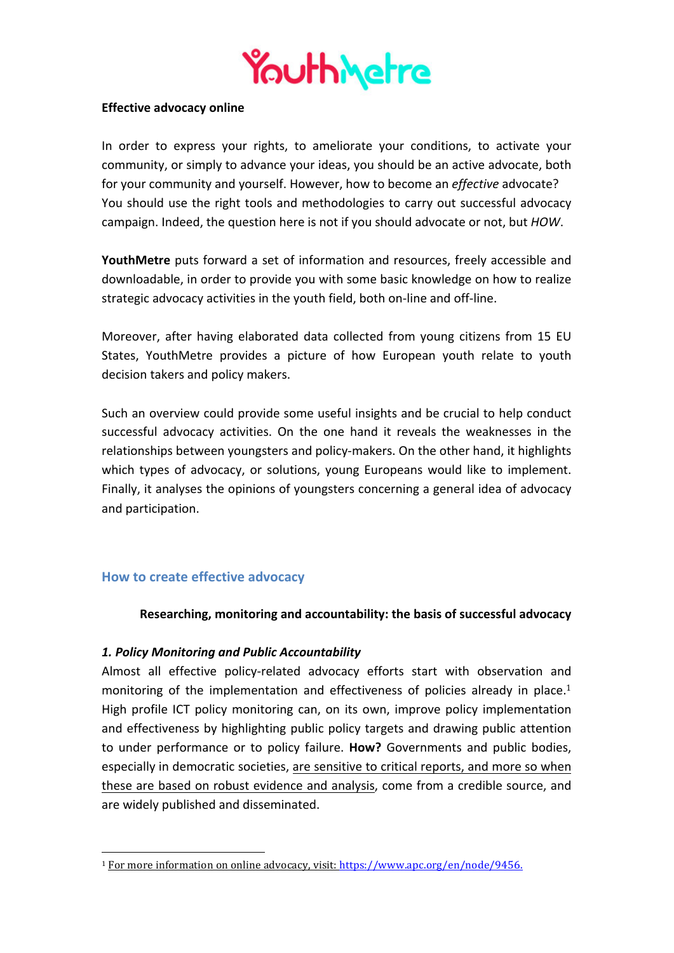

#### **Effective advocacy online**

In order to express your rights, to ameliorate your conditions, to activate your community, or simply to advance your ideas, you should be an active advocate, both for your community and yourself. However, how to become an *effective* advocate? You should use the right tools and methodologies to carry out successful advocacy campaign. Indeed, the question here is not if you should advocate or not, but *HOW*.

**YouthMetre** puts forward a set of information and resources, freely accessible and downloadable, in order to provide you with some basic knowledge on how to realize strategic advocacy activities in the youth field, both on-line and off-line.

Moreover, after having elaborated data collected from young citizens from 15 EU States, YouthMetre provides a picture of how European youth relate to youth decision takers and policy makers.

Such an overview could provide some useful insights and be crucial to help conduct successful advocacy activities. On the one hand it reveals the weaknesses in the relationships between youngsters and policy-makers. On the other hand, it highlights which types of advocacy, or solutions, young Europeans would like to implement. Finally, it analyses the opinions of youngsters concerning a general idea of advocacy and participation.

### **How to create effective advocacy**

 

#### **Researching, monitoring and accountability: the basis of successful advocacy**

#### *1. Policy Monitoring and Public Accountability*

Almost all effective policy-related advocacy efforts start with observation and monitoring of the implementation and effectiveness of policies already in place.<sup>1</sup> High profile ICT policy monitoring can, on its own, improve policy implementation and effectiveness by highlighting public policy targets and drawing public attention to under performance or to policy failure. **How?** Governments and public bodies, especially in democratic societies, are sensitive to critical reports, and more so when these are based on robust evidence and analysis, come from a credible source, and are widely published and disseminated.

<sup>&</sup>lt;sup>1</sup> For more information on online advocacy, visit: https://www.apc.org/en/node/9456.